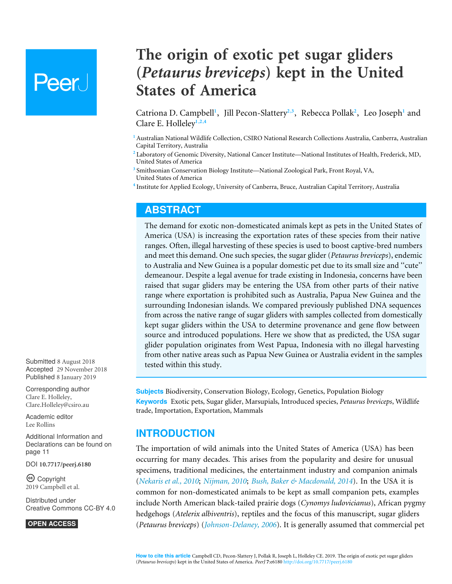# **Peer**

**The origin of exotic pet sugar gliders (***Petaurus breviceps***) kept in the United States of America**

<span id="page-0-8"></span><span id="page-0-7"></span><span id="page-0-6"></span><span id="page-0-5"></span><span id="page-0-4"></span>Catriona D. Campbell<sup>[1](#page-0-0)</sup>, Jill Pecon-Slattery<sup>[2](#page-0-1),[3](#page-0-2)</sup>, Rebecca Pollak<sup>2</sup>, Leo Joseph<sup>1</sup> and Clare E. Holleley**[1](#page-0-0)**,**[2](#page-0-1)**,**[4](#page-0-3)**

<span id="page-0-0"></span>**<sup>1</sup>** Australian National Wildlife Collection, CSIRO National Research Collections Australia, Canberra, Australian Capital Territory, Australia

<span id="page-0-1"></span>**<sup>2</sup>** Laboratory of Genomic Diversity, National Cancer Institute—National Institutes of Health, Frederick, MD, United States of America

<span id="page-0-2"></span>**3** Smithsonian Conservation Biology Institute—National Zoological Park, Front Royal, VA, United States of America

<span id="page-0-3"></span>**4** Institute for Applied Ecology, University of Canberra, Bruce, Australian Capital Territory, Australia

## **ABSTRACT**

The demand for exotic non-domesticated animals kept as pets in the United States of America (USA) is increasing the exportation rates of these species from their native ranges. Often, illegal harvesting of these species is used to boost captive-bred numbers and meet this demand. One such species, the sugar glider (*Petaurus breviceps*), endemic to Australia and New Guinea is a popular domestic pet due to its small size and ''cute'' demeanour. Despite a legal avenue for trade existing in Indonesia, concerns have been raised that sugar gliders may be entering the USA from other parts of their native range where exportation is prohibited such as Australia, Papua New Guinea and the surrounding Indonesian islands. We compared previously published DNA sequences from across the native range of sugar gliders with samples collected from domestically kept sugar gliders within the USA to determine provenance and gene flow between source and introduced populations. Here we show that as predicted, the USA sugar glider population originates from West Papua, Indonesia with no illegal harvesting from other native areas such as Papua New Guinea or Australia evident in the samples tested within this study.

**Subjects** Biodiversity, Conservation Biology, Ecology, Genetics, Population Biology **Keywords** Exotic pets, Sugar glider, Marsupials, Introduced species, *Petaurus breviceps*, Wildlife trade, Importation, Exportation, Mammals

## **INTRODUCTION**

The importation of wild animals into the United States of America (USA) has been occurring for many decades. This arises from the popularity and desire for unusual specimens, traditional medicines, the entertainment industry and companion animals (*[Nekaris et al., 2010](#page-13-0)*; *[Nijman, 2010](#page-14-0)*; *[Bush, Baker & Macdonald, 2014](#page-12-0)*). In the USA it is common for non-domesticated animals to be kept as small companion pets, examples include North American black-tailed prairie dogs (*Cynomys ludovicianus*), African pygmy hedgehogs (*Atelerix albiventris*), reptiles and the focus of this manuscript, sugar gliders (*Petaurus breviceps*) (*[Johnson-Delaney, 2006](#page-13-1)*). It is generally assumed that commercial pet

Submitted 8 August 2018 Accepted 29 November 2018 Published 8 January 2019

Corresponding author Clare E. Holleley, [Clare.Holleley@csiro.au](mailto:Clare.Holleley@csiro.au)

[Academic editor](https://peerj.com/academic-boards/editors/) [Lee Rollins](https://peerj.com/academic-boards/editors/)

[Additional Information and](#page-10-0) [Declarations can be found on](#page-10-0) [page 11](#page-10-0)

DOI **[10.7717/peerj.6180](http://dx.doi.org/10.7717/peerj.6180)**

Ccopyright 2019 Campbell et al.

[Distributed under](http://creativecommons.org/licenses/by/4.0/) [Creative Commons CC-BY 4.0](http://creativecommons.org/licenses/by/4.0/)

#### **OPEN ACCESS**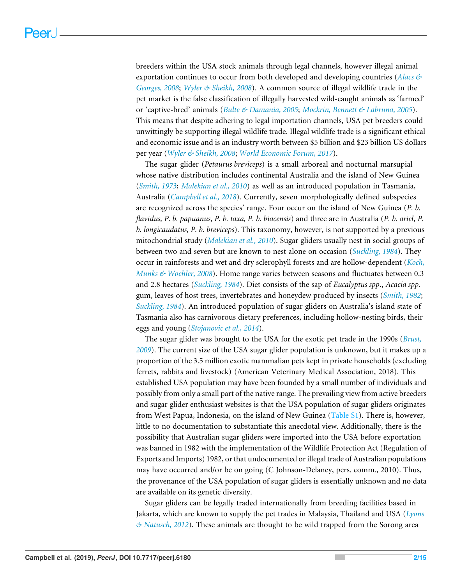breeders within the USA stock animals through legal channels, however illegal animal exportation continues to occur from both developed and developing countries (*[Alacs &](#page-11-0) [Georges, 2008](#page-11-0)*; *[Wyler & Sheikh, 2008](#page-14-1)*). A common source of illegal wildlife trade in the pet market is the false classification of illegally harvested wild-caught animals as 'farmed' or 'captive-bred' animals (*[Bulte & Damania, 2005](#page-12-1)*; *[Mockrin, Bennett & Labruna, 2005](#page-13-2)*). This means that despite adhering to legal importation channels, USA pet breeders could unwittingly be supporting illegal wildlife trade. Illegal wildlife trade is a significant ethical and economic issue and is an industry worth between \$5 billion and \$23 billion US dollars per year (*[Wyler & Sheikh, 2008](#page-14-1)*; *[World Economic Forum, 2017](#page-14-2)*).

The sugar glider (*Petaurus breviceps*) is a small arboreal and nocturnal marsupial whose native distribution includes continental Australia and the island of New Guinea (*[Smith, 1973](#page-14-3)*; *[Malekian et al., 2010](#page-13-3)*) as well as an introduced population in Tasmania, Australia (*[Campbell et al., 2018](#page-12-2)*). Currently, seven morphologically defined subspecies are recognized across the species' range. Four occur on the island of New Guinea (*P. b. flavidus, P. b. papuanus, P. b. taxa, P. b. biacensis*) and three are in Australia (*P. b. ariel*, *P. b. longicaudatus, P. b. breviceps*). This taxonomy, however, is not supported by a previous mitochondrial study (*[Malekian et al., 2010](#page-13-3)*). Sugar gliders usually nest in social groups of between two and seven but are known to nest alone on occasion (*[Suckling, 1984](#page-14-4)*). They occur in rainforests and wet and dry sclerophyll forests and are hollow-dependent (*[Koch,](#page-13-4) [Munks & Woehler, 2008](#page-13-4)*). Home range varies between seasons and fluctuates between 0.3 and 2.8 hectares (*[Suckling, 1984](#page-14-4)*). Diet consists of the sap of *Eucalyptus spp*., *Acacia spp.* gum, leaves of host trees, invertebrates and honeydew produced by insects (*[Smith, 1982](#page-14-5)*; *[Suckling, 1984](#page-14-4)*). An introduced population of sugar gliders on Australia's island state of Tasmania also has carnivorous dietary preferences, including hollow-nesting birds, their eggs and young (*[Stojanovic et al., 2014](#page-14-6)*).

The sugar glider was brought to the USA for the exotic pet trade in the 1990s (*[Brust,](#page-12-3) [2009](#page-12-3)*). The current size of the USA sugar glider population is unknown, but it makes up a proportion of the 3.5 million exotic mammalian pets kept in private households (excluding ferrets, rabbits and livestock) (American Veterinary Medical Association, 2018). This established USA population may have been founded by a small number of individuals and possibly from only a small part of the native range. The prevailing view from active breeders and sugar glider enthusiast websites is that the USA population of sugar gliders originates from West Papua, Indonesia, on the island of New Guinea [\(Table S1\)](http://dx.doi.org/10.7717/peerj.6180#supp-2). There is, however, little to no documentation to substantiate this anecdotal view. Additionally, there is the possibility that Australian sugar gliders were imported into the USA before exportation was banned in 1982 with the implementation of the Wildlife Protection Act (Regulation of Exports and Imports) 1982, or that undocumented or illegal trade of Australian populations may have occurred and/or be on going (C Johnson-Delaney, pers. comm., 2010). Thus, the provenance of the USA population of sugar gliders is essentially unknown and no data are available on its genetic diversity.

Sugar gliders can be legally traded internationally from breeding facilities based in Jakarta, which are known to supply the pet trades in Malaysia, Thailand and USA (*[Lyons](#page-13-5) [& Natusch, 2012](#page-13-5)*). These animals are thought to be wild trapped from the Sorong area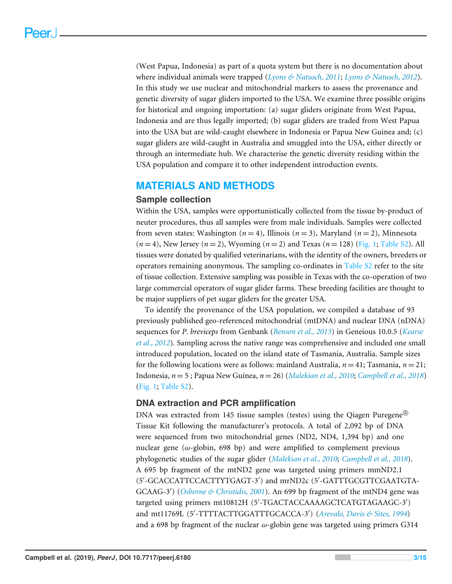(West Papua, Indonesia) as part of a quota system but there is no documentation about where individual animals were trapped (*[Lyons & Natusch, 2011](#page-13-6)*; *[Lyons & Natusch, 2012](#page-13-5)*). In this study we use nuclear and mitochondrial markers to assess the provenance and genetic diversity of sugar gliders imported to the USA. We examine three possible origins for historical and ongoing importation: (a) sugar gliders originate from West Papua, Indonesia and are thus legally imported; (b) sugar gliders are traded from West Papua into the USA but are wild-caught elsewhere in Indonesia or Papua New Guinea and; (c) sugar gliders are wild-caught in Australia and smuggled into the USA, either directly or through an intermediate hub. We characterise the genetic diversity residing within the USA population and compare it to other independent introduction events.

## **MATERIALS AND METHODS**

#### **Sample collection**

Within the USA, samples were opportunistically collected from the tissue by-product of neuter procedures, thus all samples were from male individuals. Samples were collected from seven states: Washington  $(n = 4)$ , Illinois  $(n = 3)$ , Maryland  $(n = 2)$ , Minnesota  $(n=4)$ , New Jersey  $(n=2)$ , Wyoming  $(n=2)$  and Texas  $(n=128)$  [\(Fig. 1;](#page-3-0) [Table S2\)](http://dx.doi.org/10.7717/peerj.6180#supp-3). All tissues were donated by qualified veterinarians, with the identity of the owners, breeders or operators remaining anonymous. The sampling co-ordinates in [Table S2](http://dx.doi.org/10.7717/peerj.6180#supp-3) refer to the site of tissue collection. Extensive sampling was possible in Texas with the co-operation of two large commercial operators of sugar glider farms. These breeding facilities are thought to be major suppliers of pet sugar gliders for the greater USA.

To identify the provenance of the USA population, we compiled a database of 93 previously published geo-referenced mitochondrial (mtDNA) and nuclear DNA (nDNA) sequences for *P. breviceps* from Genbank (*[Benson et al., 2013](#page-12-4)*) in Geneious 10.0.5 (*[Kearse](#page-13-7) [et al., 2012](#page-13-7)*)*.* Sampling across the native range was comprehensive and included one small introduced population, located on the island state of Tasmania, Australia. Sample sizes for the following locations were as follows: mainland Australia,  $n = 41$ ; Tasmania,  $n = 21$ ; Indonesia, *n* = 5 ; Papua New Guinea, *n* = 26) (*[Malekian et al., 2010](#page-13-8)*; *[Campbell et al., 2018](#page-12-2)*) [\(Fig. 1;](#page-3-0) [Table S2\)](http://dx.doi.org/10.7717/peerj.6180#supp-3).

#### **DNA extraction and PCR amplification**

DNA was extracted from 145 tissue samples (testes) using the Qiagen Puregene<sup>®</sup> Tissue Kit following the manufacturer's protocols. A total of 2,092 bp of DNA were sequenced from two mitochondrial genes (ND2, ND4, 1,394 bp) and one nuclear gene ( $\omega$ -globin, 698 bp) and were amplified to complement previous phylogenetic studies of the sugar glider (*[Malekian et al., 2010](#page-13-3)*; *[Campbell et al., 2018](#page-12-2)*). A 695 bp fragment of the mtND2 gene was targeted using primers mmND2.1 (5'-GCACCATTCCACTTYTGAGT-3') and mrND2c (5'-GATTTGCGTTCGAATGTA-GCAAG-3') (*[Osborne & Christidis, 2001](#page-14-7)*). An 699 bp fragment of the mtND4 gene was targeted using primers mt10812H (5'-TGACTACCAAAAGCTCATGTAGAAGC-3') and mt11769L (5'-TTTTACTTGGATTTGCACCA-3') ([Arevalo, Davis & Sites, 1994](#page-12-5)) and a 698 bp fragment of the nuclear  $\omega$ -globin gene was targeted using primers G314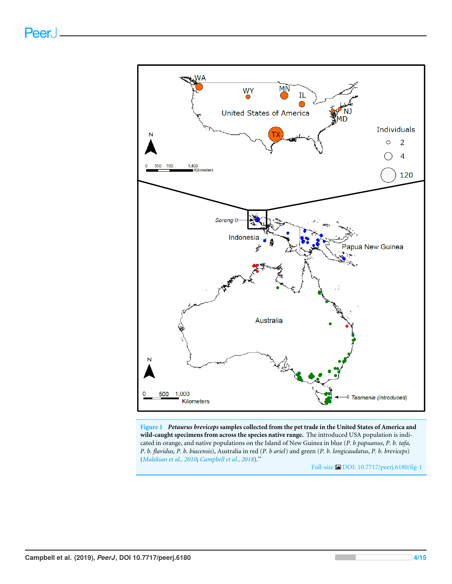<span id="page-3-0"></span>

**Figure 1** *Petaurus breviceps* **samples collected from the pet trade in the United States of America and wild-caught specimens from across the species native range.** The introduced USA population is indicated in orange, and native populations on the Island of New Guinea in blue (*P. b papuanus, P. b. tafa, P. b. flavidus, P. b. biacensis*), Australia in red (*P. b ariel*) and green (*P. b. longicaudatus*, *P. b. breviceps*) (*[Malekian et al.,](#page-13-3) [2010](#page-13-3)*; *[Campbell et al., 2018](#page-12-2)*).''

Full-size [DOI: 10.7717/peerj.6180/fig-1](https://doi.org/10.7717/peerj.6180/fig-1)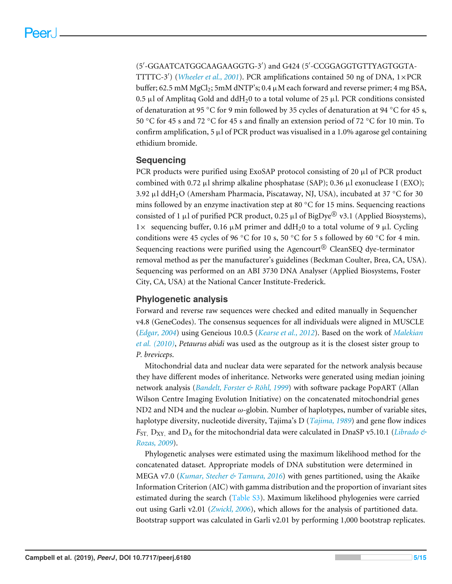(5'-GGAATCATGGCAAGAAGGTG-3') and G424 (5'-CCGGAGGTGTTYAGTGGTA-TTTTC-3') (*[Wheeler et al., 2001](#page-14-8)*). PCR amplifications contained 50 ng of DNA, 1×PCR buffer; 62.5 mM MgCl<sub>2</sub>; 5mM dNTP's; 0.4  $\mu$ M each forward and reverse primer; 4 mg BSA, 0.5 µl of Amplitaq Gold and ddH<sub>2</sub>0 to a total volume of 25 µl. PCR conditions consisted of denaturation at 95 °C for 9 min followed by 35 cycles of denaturation at 94 °C for 45 s, 50 ◦C for 45 s and 72 ◦C for 45 s and finally an extension period of 72 ◦C for 10 min. To confirm amplification, 5  $\mu$ l of PCR product was visualised in a 1.0% agarose gel containing ethidium bromide.

## **Sequencing**

PCR products were purified using ExoSAP protocol consisting of 20  $\mu$ l of PCR product combined with 0.72  $\mu$ l shrimp alkaline phosphatase (SAP); 0.36  $\mu$ l exonuclease I (EXO); 3.92 µl ddH<sub>2</sub>O (Amersham Pharmacia, Piscataway, NJ, USA), incubated at 37 °C for 30 mins followed by an enzyme inactivation step at 80  $\degree$ C for 15 mins. Sequencing reactions consisted of 1 µl of purified PCR product, 0.25 µl of BigDye® v3.1 (Applied Biosystems), 1× sequencing buffer, 0.16  $\mu$ M primer and ddH<sub>2</sub>0 to a total volume of 9  $\mu$ l. Cycling conditions were 45 cycles of 96 °C for 10 s, 50 °C for 5 s followed by 60 °C for 4 min. Sequencing reactions were purified using the Agencourt<sup>®</sup> CleanSEQ dye-terminator removal method as per the manufacturer's guidelines (Beckman Coulter, Brea, CA, USA). Sequencing was performed on an ABI 3730 DNA Analyser (Applied Biosystems, Foster City, CA, USA) at the National Cancer Institute-Frederick.

## **Phylogenetic analysis**

Forward and reverse raw sequences were checked and edited manually in Sequencher v4.8 (GeneCodes). The consensus sequences for all individuals were aligned in MUSCLE (*[Edgar, 2004](#page-12-6)*) using Geneious 10.0.5 (*[Kearse et al., 2012](#page-13-7)*). Based on the work of *[Malekian](#page-13-3) [et al.](#page-13-3) [\(2010\)](#page-13-3)*, *Petaurus abidi* was used as the outgroup as it is the closest sister group to *P. breviceps*.

Mitochondrial data and nuclear data were separated for the network analysis because they have different modes of inheritance. Networks were generated using median joining network analysis (*[Bandelt, Forster & Röhl, 1999](#page-12-7)*) with software package PopART (Allan Wilson Centre Imaging Evolution Initiative) on the concatenated mitochondrial genes ND2 and ND4 and the nuclear  $\omega$ -globin. Number of haplotypes, number of variable sites, haplotype diversity, nucleotide diversity, Tajima's D (*[Tajima, 1989](#page-14-9)*) and gene flow indices *F*<sub>ST,</sub> D<sub>XY</sub>, and D<sub>A</sub> for the mitochondrial data were calculated in DnaSP v5.10.1 (*[Librado &](#page-13-9) [Rozas, 2009](#page-13-9)*).

Phylogenetic analyses were estimated using the maximum likelihood method for the concatenated dataset. Appropriate models of DNA substitution were determined in MEGA v7.0 (*[Kumar, Stecher & Tamura, 2016](#page-13-10)*) with genes partitioned, using the Akaike Information Criterion (AIC) with gamma distribution and the proportion of invariant sites estimated during the search [\(Table S3\)](http://dx.doi.org/10.7717/peerj.6180#supp-4). Maximum likelihood phylogenies were carried out using Garli v2.01 (*[Zwickl, 2006](#page-14-10)*), which allows for the analysis of partitioned data. Bootstrap support was calculated in Garli v2.01 by performing 1,000 bootstrap replicates.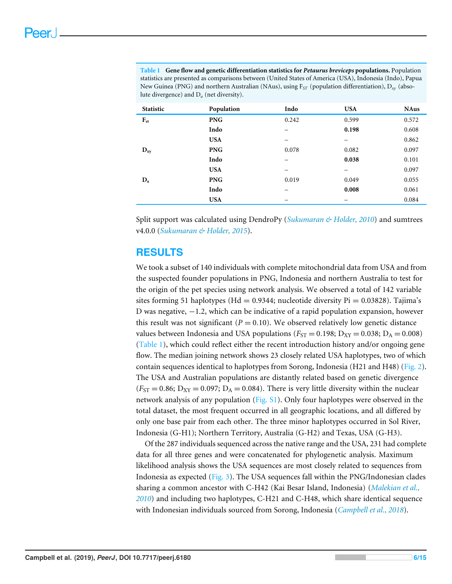<span id="page-5-0"></span>**Table 1 Gene flow and genetic differentiation statistics for** *Petaurus breviceps* **populations.** Population statistics are presented as comparisons between (United States of America (USA), Indonesia (Indo), Papua New Guinea (PNG) and northern Australian (NAus), using F*ST* (population differentiation), D*xy* (absolute divergence) and D*<sup>a</sup>* (net diversity).

| Statistic | Population | Indo  | <b>USA</b> | <b>NAus</b> |
|-----------|------------|-------|------------|-------------|
| $F_{st}$  | <b>PNG</b> | 0.242 | 0.599      | 0.572       |
|           | Indo       |       | 0.198      | 0.608       |
|           | <b>USA</b> | -     | –          | 0.862       |
| $D_{xy}$  | <b>PNG</b> | 0.078 | 0.082      | 0.097       |
|           | Indo       |       | 0.038      | 0.101       |
|           | <b>USA</b> | -     | -          | 0.097       |
| $D_a$     | <b>PNG</b> | 0.019 | 0.049      | 0.055       |
|           | Indo       |       | 0.008      | 0.061       |
|           | <b>USA</b> |       |            | 0.084       |

Split support was calculated using DendroPy (*[Sukumaran & Holder, 2010](#page-14-11)*) and sumtrees v4.0.0 (*[Sukumaran & Holder, 2015](#page-14-12)*).

## **RESULTS**

We took a subset of 140 individuals with complete mitochondrial data from USA and from the suspected founder populations in PNG, Indonesia and northern Australia to test for the origin of the pet species using network analysis. We observed a total of 142 variable sites forming 51 haplotypes (Hd =  $0.9344$ ; nucleotide diversity Pi =  $0.03828$ ). Tajima's D was negative, −1.2, which can be indicative of a rapid population expansion, however this result was not significant  $(P = 0.10)$ . We observed relatively low genetic distance values between Indonesia and USA populations ( $F_{ST} = 0.198$ ;  $D_{XY} = 0.038$ ;  $D_A = 0.008$ ) [\(Table 1\)](#page-5-0), which could reflect either the recent introduction history and/or ongoing gene flow. The median joining network shows 23 closely related USA haplotypes, two of which contain sequences identical to haplotypes from Sorong, Indonesia (H21 and H48) [\(Fig. 2\)](#page-6-0). The USA and Australian populations are distantly related based on genetic divergence  $(F_{ST} = 0.86; D_{XY} = 0.097; D_A = 0.084)$ . There is very little diversity within the nuclear network analysis of any population [\(Fig. S1\)](http://dx.doi.org/10.7717/peerj.6180#supp-1). Only four haplotypes were observed in the total dataset, the most frequent occurred in all geographic locations, and all differed by only one base pair from each other. The three minor haplotypes occurred in Sol River, Indonesia (G-H1); Northern Territory, Australia (G-H2) and Texas, USA (G-H3).

Of the 287 individuals sequenced across the native range and the USA, 231 had complete data for all three genes and were concatenated for phylogenetic analysis. Maximum likelihood analysis shows the USA sequences are most closely related to sequences from Indonesia as expected [\(Fig. 3\)](#page-7-0). The USA sequences fall within the PNG/Indonesian clades sharing a common ancestor with C-H42 (Kai Besar Island, Indonesia) (*[Malekian et al.,](#page-13-3) [2010](#page-13-3)*) and including two haplotypes, C-H21 and C-H48, which share identical sequence with Indonesian individuals sourced from Sorong, Indonesia (*[Campbell et al., 2018](#page-12-2)*).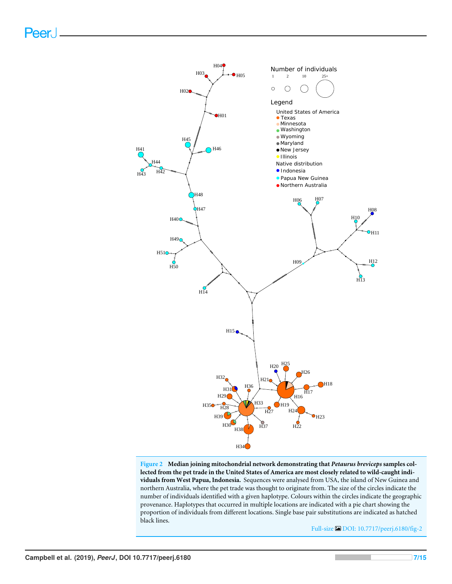Peer.

<span id="page-6-0"></span>

**Figure 2 Median joining mitochondrial network demonstrating that** *Petaurus breviceps* **samples collected from the pet trade in the United States of America are most closely related to wild-caught individuals from West Papua, Indonesia.** Sequences were analysed from USA, the island of New Guinea and northern Australia, where the pet trade was thought to originate from. The size of the circles indicate the number of individuals identified with a given haplotype. Colours within the circles indicate the geographic provenance. Haplotypes that occurred in multiple locations are indicated with a pie chart showing the proportion of individuals from different locations. Single base pair substitutions are indicated as hatched black lines.

Full-size [DOI: 10.7717/peerj.6180/fig-2](https://doi.org/10.7717/peerj.6180/fig-2)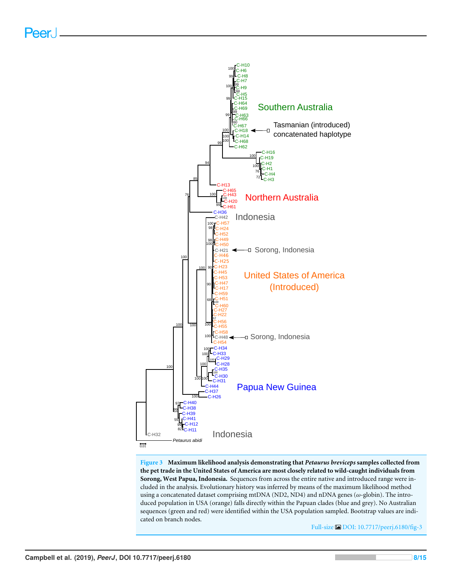Peer.

<span id="page-7-0"></span>

**Figure 3 Maximum likelihood analysis demonstrating that** *Petaurus breviceps* **samples collected from the pet trade in the United States of America are most closely related to wild-caught individuals from Sorong, West Papua, Indonesia.** Sequences from across the entire native and introduced range were included in the analysis. Evolutionary history was inferred by means of the maximum likelihood method using a concatenated dataset comprising mtDNA (ND2, ND4) and nDNA genes ( $\omega$ -globin). The introduced population in USA (orange) falls directly within the Papuan clades (blue and grey). No Australian sequences (green and red) were identified within the USA population sampled. Bootstrap values are indicated on branch nodes.

Full-size [DOI: 10.7717/peerj.6180/fig-3](https://doi.org/10.7717/peerj.6180/fig-3)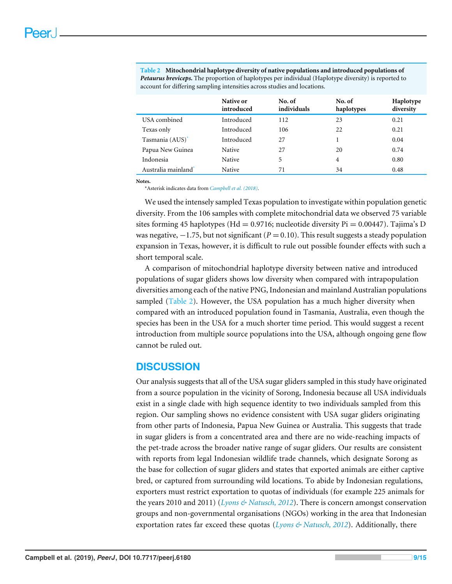|                                 | Native or<br>introduced | No. of<br>individuals | No. of<br>haplotypes | Haplotype<br>diversity |
|---------------------------------|-------------------------|-----------------------|----------------------|------------------------|
| USA combined                    | Introduced              | 112                   | 23                   | 0.21                   |
| Texas only                      | Introduced              | 106                   | 22                   | 0.21                   |
| Tasmania (AUS)*                 | Introduced              | 27                    |                      | 0.04                   |
| Papua New Guinea                | <b>Native</b>           | 27                    | 20                   | 0.74                   |
| Indonesia                       | <b>Native</b>           | 5                     | $\overline{4}$       | 0.80                   |
| Australia mainland <sup>*</sup> | <b>Native</b>           | 71                    | 34                   | 0.48                   |

<span id="page-8-1"></span>**Table 2 Mitochondrial haplotype diversity of native populations and introduced populations of** *Petaurus breviceps***.** The proportion of haplotypes per individual (Haplotype diversity) is reported to account for differing sampling intensities across studies and locations.

**Notes.**

<span id="page-8-0"></span>\*Asterisk indicates data from *[Campbell et al. \(2018\)](#page-12-2)*.

We used the intensely sampled Texas population to investigate within population genetic diversity. From the 106 samples with complete mitochondrial data we observed 75 variable sites forming 45 haplotypes (Hd = 0.9716; nucleotide diversity  $Pi = 0.00447$ ). Tajima's D was negative,  $-1.75$ , but not significant ( $P = 0.10$ ). This result suggests a steady population expansion in Texas, however, it is difficult to rule out possible founder effects with such a short temporal scale.

A comparison of mitochondrial haplotype diversity between native and introduced populations of sugar gliders shows low diversity when compared with intrapopulation diversities among each of the native PNG, Indonesian and mainland Australian populations sampled [\(Table 2\)](#page-8-1). However, the USA population has a much higher diversity when compared with an introduced population found in Tasmania, Australia, even though the species has been in the USA for a much shorter time period. This would suggest a recent introduction from multiple source populations into the USA, although ongoing gene flow cannot be ruled out.

## **DISCUSSION**

Our analysis suggests that all of the USA sugar gliders sampled in this study have originated from a source population in the vicinity of Sorong, Indonesia because all USA individuals exist in a single clade with high sequence identity to two individuals sampled from this region. Our sampling shows no evidence consistent with USA sugar gliders originating from other parts of Indonesia, Papua New Guinea or Australia. This suggests that trade in sugar gliders is from a concentrated area and there are no wide-reaching impacts of the pet-trade across the broader native range of sugar gliders. Our results are consistent with reports from legal Indonesian wildlife trade channels, which designate Sorong as the base for collection of sugar gliders and states that exported animals are either captive bred, or captured from surrounding wild locations. To abide by Indonesian regulations, exporters must restrict exportation to quotas of individuals (for example 225 animals for the years 2010 and 2011) (*[Lyons & Natusch, 2012](#page-13-5)*). There is concern amongst conservation groups and non-governmental organisations (NGOs) working in the area that Indonesian exportation rates far exceed these quotas (*[Lyons & Natusch, 2012](#page-13-5)*). Additionally, there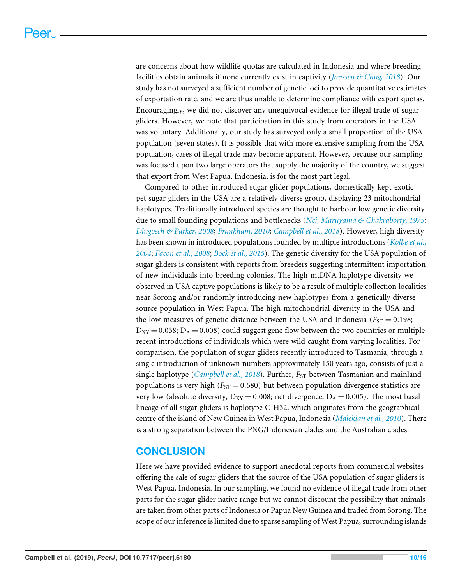are concerns about how wildlife quotas are calculated in Indonesia and where breeding facilities obtain animals if none currently exist in captivity (*[Janssen & Chng, 2018](#page-13-11)*). Our study has not surveyed a sufficient number of genetic loci to provide quantitative estimates of exportation rate, and we are thus unable to determine compliance with export quotas. Encouragingly, we did not discover any unequivocal evidence for illegal trade of sugar gliders. However, we note that participation in this study from operators in the USA was voluntary. Additionally, our study has surveyed only a small proportion of the USA population (seven states). It is possible that with more extensive sampling from the USA population, cases of illegal trade may become apparent. However, because our sampling was focused upon two large operators that supply the majority of the country, we suggest that export from West Papua, Indonesia, is for the most part legal.

Compared to other introduced sugar glider populations, domestically kept exotic pet sugar gliders in the USA are a relatively diverse group, displaying 23 mitochondrial haplotypes. Traditionally introduced species are thought to harbour low genetic diversity due to small founding populations and bottlenecks (*[Nei, Maruyama & Chakraborty, 1975](#page-13-12)*; *[Dlugosch & Parker, 2008](#page-12-8)*; *[Frankham, 2010](#page-12-9)*; *[Campbell et al., 2018](#page-12-2)*). However, high diversity has been shown in introduced populations founded by multiple introductions (*[Kolbe et al.,](#page-13-13) [2004](#page-13-13)*; *[Facon et al., 2008](#page-12-10)*; *[Bock et al., 2015](#page-12-11)*). The genetic diversity for the USA population of sugar gliders is consistent with reports from breeders suggesting intermittent importation of new individuals into breeding colonies. The high mtDNA haplotype diversity we observed in USA captive populations is likely to be a result of multiple collection localities near Sorong and/or randomly introducing new haplotypes from a genetically diverse source population in West Papua. The high mitochondrial diversity in the USA and the low measures of genetic distance between the USA and Indonesia ( $F_{ST} = 0.198$ ;  $D_{XY} = 0.038$ ;  $D_A = 0.008$ ) could suggest gene flow between the two countries or multiple recent introductions of individuals which were wild caught from varying localities. For comparison, the population of sugar gliders recently introduced to Tasmania, through a single introduction of unknown numbers approximately 150 years ago, consists of just a single haplotype (*[Campbell et al., 2018](#page-12-2)*). Further, *F<sub>ST</sub>* between Tasmanian and mainland populations is very high  $(F_{ST} = 0.680)$  but between population divergence statistics are very low (absolute diversity,  $D_{XY} = 0.008$ ; net divergence,  $D_A = 0.005$ ). The most basal lineage of all sugar gliders is haplotype C-H32, which originates from the geographical centre of the island of New Guinea in West Papua, Indonesia (*[Malekian et al.,](#page-13-3) [2010](#page-13-3)*). There is a strong separation between the PNG/Indonesian clades and the Australian clades.

## **CONCLUSION**

Here we have provided evidence to support anecdotal reports from commercial websites offering the sale of sugar gliders that the source of the USA population of sugar gliders is West Papua, Indonesia. In our sampling, we found no evidence of illegal trade from other parts for the sugar glider native range but we cannot discount the possibility that animals are taken from other parts of Indonesia or Papua New Guinea and traded from Sorong. The scope of our inference is limited due to sparse sampling of West Papua, surrounding islands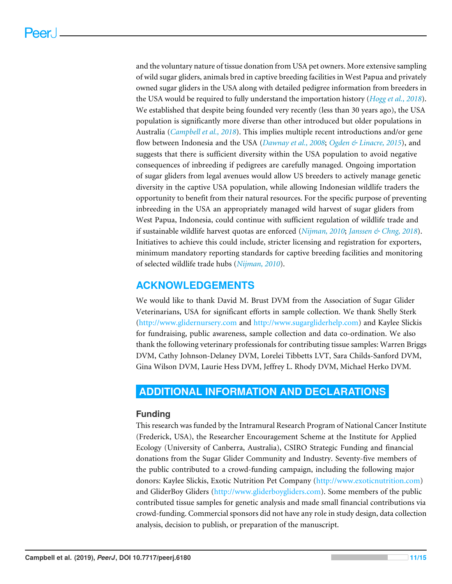and the voluntary nature of tissue donation from USA pet owners. More extensive sampling of wild sugar gliders, animals bred in captive breeding facilities in West Papua and privately owned sugar gliders in the USA along with detailed pedigree information from breeders in the USA would be required to fully understand the importation history (*[Hogg et al., 2018](#page-12-12)*). We established that despite being founded very recently (less than 30 years ago), the USA population is significantly more diverse than other introduced but older populations in Australia (*[Campbell et al., 2018](#page-12-2)*). This implies multiple recent introductions and/or gene flow between Indonesia and the USA (*[Dawnay et al., 2008](#page-12-13)*; *[Ogden & Linacre, 2015](#page-14-13)*), and suggests that there is sufficient diversity within the USA population to avoid negative consequences of inbreeding if pedigrees are carefully managed. Ongoing importation of sugar gliders from legal avenues would allow US breeders to actively manage genetic diversity in the captive USA population, while allowing Indonesian wildlife traders the opportunity to benefit from their natural resources. For the specific purpose of preventing inbreeding in the USA an appropriately managed wild harvest of sugar gliders from West Papua, Indonesia, could continue with sufficient regulation of wildlife trade and if sustainable wildlife harvest quotas are enforced (*[Nijman, 2010](#page-14-0)*; *[Janssen & Chng, 2018](#page-13-11)*). Initiatives to achieve this could include, stricter licensing and registration for exporters, minimum mandatory reporting standards for captive breeding facilities and monitoring of selected wildlife trade hubs (*[Nijman, 2010](#page-14-0)*).

## **ACKNOWLEDGEMENTS**

We would like to thank David M. Brust DVM from the Association of Sugar Glider Veterinarians, USA for significant efforts in sample collection. We thank Shelly Sterk [\(http://www.glidernursery.com](http://www.glidernursery.com) and [http://www.sugargliderhelp.com\)](http://www.sugargliderhelp.com) and Kaylee Slickis for fundraising, public awareness, sample collection and data co-ordination. We also thank the following veterinary professionals for contributing tissue samples: Warren Briggs DVM, Cathy Johnson-Delaney DVM, Lorelei Tibbetts LVT, Sara Childs-Sanford DVM, Gina Wilson DVM, Laurie Hess DVM, Jeffrey L. Rhody DVM, Michael Herko DVM.

## <span id="page-10-0"></span>**ADDITIONAL INFORMATION AND DECLARATIONS**

### **Funding**

This research was funded by the Intramural Research Program of National Cancer Institute (Frederick, USA), the Researcher Encouragement Scheme at the Institute for Applied Ecology (University of Canberra, Australia), CSIRO Strategic Funding and financial donations from the Sugar Glider Community and Industry. Seventy-five members of the public contributed to a crowd-funding campaign, including the following major donors: Kaylee Slickis, Exotic Nutrition Pet Company [\(http://www.exoticnutrition.com\)](http://www.exoticnutrition.com) and GliderBoy Gliders [\(http://www.gliderboygliders.com\)](http://www.gliderboygliders.com). Some members of the public contributed tissue samples for genetic analysis and made small financial contributions via crowd-funding. Commercial sponsors did not have any role in study design, data collection analysis, decision to publish, or preparation of the manuscript.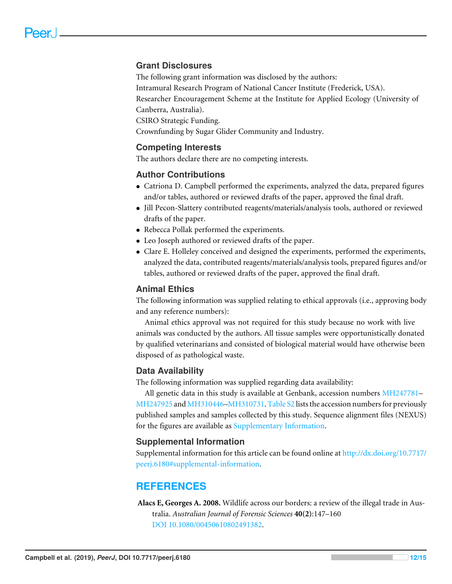## **Grant Disclosures**

The following grant information was disclosed by the authors: Intramural Research Program of National Cancer Institute (Frederick, USA). Researcher Encouragement Scheme at the Institute for Applied Ecology (University of Canberra, Australia). CSIRO Strategic Funding.

Crownfunding by Sugar Glider Community and Industry.

### **Competing Interests**

The authors declare there are no competing interests.

### **Author Contributions**

- [Catriona D. Campbell](#page-0-4) performed the experiments, analyzed the data, prepared figures and/or tables, authored or reviewed drafts of the paper, approved the final draft.
- [Jill Pecon-Slattery](#page-0-5) contributed reagents/materials/analysis tools, authored or reviewed drafts of the paper.
- [Rebecca Pollak](#page-0-6) performed the experiments.
- [Leo Joseph](#page-0-7) authored or reviewed drafts of the paper.
- [Clare E. Holleley](#page-0-8) conceived and designed the experiments, performed the experiments, analyzed the data, contributed reagents/materials/analysis tools, prepared figures and/or tables, authored or reviewed drafts of the paper, approved the final draft.

#### **Animal Ethics**

The following information was supplied relating to ethical approvals (i.e., approving body and any reference numbers):

Animal ethics approval was not required for this study because no work with live animals was conducted by the authors. All tissue samples were opportunistically donated by qualified veterinarians and consisted of biological material would have otherwise been disposed of as pathological waste.

### **Data Availability**

The following information was supplied regarding data availability:

All genetic data in this study is available at Genbank, accession numbers [MH247781–](https://www.ncbi.nlm.nih.gov/geo/query/acc.cgi?acc=MH247781) [MH247925](https://www.ncbi.nlm.nih.gov/geo/query/acc.cgi?acc=MH247925) and [MH310446](https://www.ncbi.nlm.nih.gov/geo/query/acc.cgi?acc=MH310446)[–MH310731.](https://www.ncbi.nlm.nih.gov/geo/query/acc.cgi?acc=MH310731) [Table S2](http://dx.doi.org/10.7717/peerj.6180#supp-3) lists the accession numbers for previously published samples and samples collected by this study. Sequence alignment files (NEXUS) for the figures are available as [Supplementary Information.](http://dx.doi.org/10.7717/peerj.6180#supplemental-information)

#### **Supplemental Information**

Supplemental information for this article can be found online at [http://dx.doi.org/10.7717/](http://dx.doi.org/10.7717/peerj.6180#supplemental-information) [peerj.6180#supplemental-information.](http://dx.doi.org/10.7717/peerj.6180#supplemental-information)

## **REFERENCES**

<span id="page-11-0"></span>**Alacs E, Georges A. 2008.** Wildlife across our borders: a review of the illegal trade in Australia. *Australian Journal of Forensic Sciences* **40(2)**:147–160 [DOI 10.1080/00450610802491382.](http://dx.doi.org/10.1080/00450610802491382)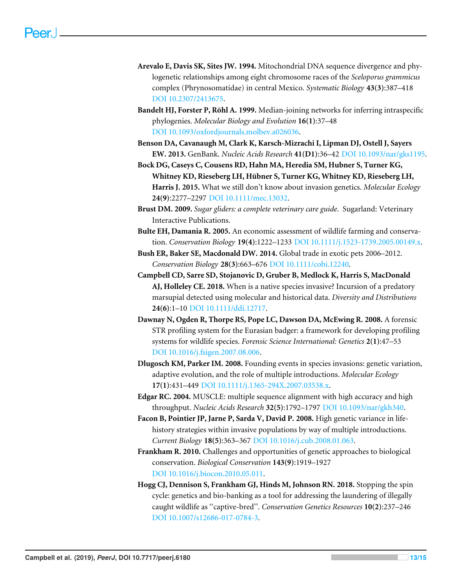- <span id="page-12-5"></span>**Arevalo E, Davis SK, Sites JW. 1994.** Mitochondrial DNA sequence divergence and phylogenetic relationships among eight chromosome races of the *Sceloporus grammicus* complex (Phrynosomatidae) in central Mexico. *Systematic Biology* **43(3)**:387–418 [DOI 10.2307/2413675.](http://dx.doi.org/10.2307/2413675)
- <span id="page-12-7"></span>**Bandelt HJ, Forster P, Röhl A. 1999.** Median-joining networks for inferring intraspecific phylogenies. *Molecular Biology and Evolution* **16(1)**:37–48 [DOI 10.1093/oxfordjournals.molbev.a026036.](http://dx.doi.org/10.1093/oxfordjournals.molbev.a026036)
- <span id="page-12-4"></span>**Benson DA, Cavanaugh M, Clark K, Karsch-Mizrachi I, Lipman DJ, Ostell J, Sayers EW. 2013.** GenBank. *Nucleic Acids Research* **41(D1)**:36–42 [DOI 10.1093/nar/gks1195.](http://dx.doi.org/10.1093/nar/gks1195)
- <span id="page-12-11"></span>**Bock DG, Caseys C, Cousens RD, Hahn MA, Heredia SM, Hubner S, Turner KG, Whitney KD, Rieseberg LH, Hübner S, Turner KG, Whitney KD, Rieseberg LH, Harris J. 2015.** What we still don't know about invasion genetics. *Molecular Ecology* **24(9)**:2277–2297 [DOI 10.1111/mec.13032.](http://dx.doi.org/10.1111/mec.13032)
- <span id="page-12-3"></span>**Brust DM. 2009.** *Sugar gliders: a complete veterinary care guide*. Sugarland: Veterinary Interactive Publications.
- <span id="page-12-1"></span>**Bulte EH, Damania R. 2005.** An economic assessment of wildlife farming and conservation. *Conservation Biology* **19(4)**:1222–1233 [DOI 10.1111/j.1523-1739.2005.00149.x.](http://dx.doi.org/10.1111/j.1523-1739.2005.00149.x)
- <span id="page-12-0"></span>**Bush ER, Baker SE, Macdonald DW. 2014.** Global trade in exotic pets 2006–2012. *Conservation Biology* **28(3)**:663–676 [DOI 10.1111/cobi.12240.](http://dx.doi.org/10.1111/cobi.12240)
- <span id="page-12-2"></span>**Campbell CD, Sarre SD, Stojanovic D, Gruber B, Medlock K, Harris S, MacDonald AJ, Holleley CE. 2018.** When is a native species invasive? Incursion of a predatory marsupial detected using molecular and historical data. *Diversity and Distributions* **24(6)**:1–10 [DOI 10.1111/ddi.12717.](http://dx.doi.org/10.1111/ddi.12717)
- <span id="page-12-13"></span>**Dawnay N, Ogden R, Thorpe RS, Pope LC, Dawson DA, McEwing R. 2008.** A forensic STR profiling system for the Eurasian badger: a framework for developing profiling systems for wildlife species. *Forensic Science International: Genetics* **2(1)**:47–53 [DOI 10.1016/j.fsigen.2007.08.006.](http://dx.doi.org/10.1016/j.fsigen.2007.08.006)
- <span id="page-12-8"></span>**Dlugosch KM, Parker IM. 2008.** Founding events in species invasions: genetic variation, adaptive evolution, and the role of multiple introductions. *Molecular Ecology* **17(1)**:431–449 [DOI 10.1111/j.1365-294X.2007.03538.x.](http://dx.doi.org/10.1111/j.1365-294X.2007.03538.x)
- <span id="page-12-6"></span>**Edgar RC. 2004.** MUSCLE: multiple sequence alignment with high accuracy and high throughput. *Nucleic Acids Research* **32(5)**:1792–1797 [DOI 10.1093/nar/gkh340.](http://dx.doi.org/10.1093/nar/gkh340)
- <span id="page-12-10"></span>**Facon B, Pointier JP, Jarne P, Sarda V, David P. 2008.** High genetic variance in lifehistory strategies within invasive populations by way of multiple introductions. *Current Biology* **18(5)**:363–367 [DOI 10.1016/j.cub.2008.01.063.](http://dx.doi.org/10.1016/j.cub.2008.01.063)
- <span id="page-12-9"></span>**Frankham R. 2010.** Challenges and opportunities of genetic approaches to biological conservation. *Biological Conservation* **143(9)**:1919–1927 [DOI 10.1016/j.biocon.2010.05.011.](http://dx.doi.org/10.1016/j.biocon.2010.05.011)
- <span id="page-12-12"></span>**Hogg CJ, Dennison S, Frankham GJ, Hinds M, Johnson RN. 2018.** Stopping the spin cycle: genetics and bio-banking as a tool for addressing the laundering of illegally caught wildlife as ''captive-bred''. *Conservation Genetics Resources* **10(2)**:237–246 [DOI 10.1007/s12686-017-0784-3.](http://dx.doi.org/10.1007/s12686-017-0784-3)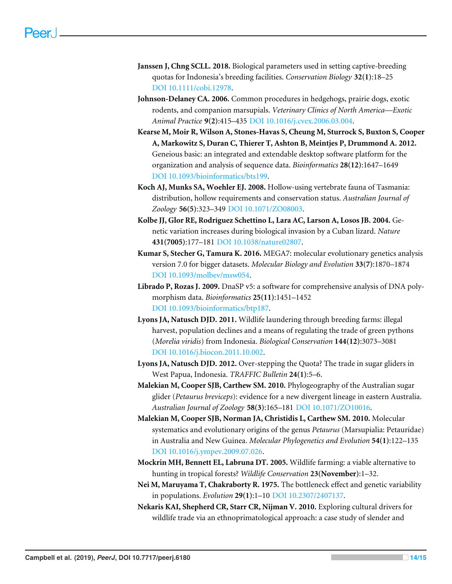- <span id="page-13-11"></span>**Janssen J, Chng SCLL. 2018.** Biological parameters used in setting captive-breeding quotas for Indonesia's breeding facilities. *Conservation Biology* **32(1)**:18–25 [DOI 10.1111/cobi.12978.](http://dx.doi.org/10.1111/cobi.12978)
- <span id="page-13-1"></span>**Johnson-Delaney CA. 2006.** Common procedures in hedgehogs, prairie dogs, exotic rodents, and companion marsupials. *Veterinary Clinics of North America—Exotic Animal Practice* **9(2)**:415–435 [DOI 10.1016/j.cvex.2006.03.004.](http://dx.doi.org/10.1016/j.cvex.2006.03.004)
- <span id="page-13-7"></span>**Kearse M, Moir R, Wilson A, Stones-Havas S, Cheung M, Sturrock S, Buxton S, Cooper A, Markowitz S, Duran C, Thierer T, Ashton B, Meintjes P, Drummond A. 2012.** Geneious basic: an integrated and extendable desktop software platform for the organization and analysis of sequence data. *Bioinformatics* **28(12)**:1647–1649 [DOI 10.1093/bioinformatics/bts199.](http://dx.doi.org/10.1093/bioinformatics/bts199)
- <span id="page-13-4"></span>**Koch AJ, Munks SA, Woehler EJ. 2008.** Hollow-using vertebrate fauna of Tasmania: distribution, hollow requirements and conservation status. *Australian Journal of Zoology* **56(5)**:323–349 [DOI 10.1071/ZO08003.](http://dx.doi.org/10.1071/ZO08003)
- <span id="page-13-13"></span>**Kolbe JJ, Glor RE, Rodríguez Schettino L, Lara AC, Larson A, Losos JB. 2004.** Genetic variation increases during biological invasion by a Cuban lizard. *Nature* **431(7005)**:177–181 [DOI 10.1038/nature02807.](http://dx.doi.org/10.1038/nature02807)
- <span id="page-13-10"></span>**Kumar S, Stecher G, Tamura K. 2016.** MEGA7: molecular evolutionary genetics analysis version 7.0 for bigger datasets. *Molecular Biology and Evolution* **33(7)**:1870–1874 [DOI 10.1093/molbev/msw054.](http://dx.doi.org/10.1093/molbev/msw054)
- <span id="page-13-9"></span>**Librado P, Rozas J. 2009.** DnaSP v5: a software for comprehensive analysis of DNA polymorphism data. *Bioinformatics* **25(11)**:1451–1452 [DOI 10.1093/bioinformatics/btp187.](http://dx.doi.org/10.1093/bioinformatics/btp187)
- <span id="page-13-6"></span>**Lyons JA, Natusch DJD. 2011.** Wildlife laundering through breeding farms: illegal harvest, population declines and a means of regulating the trade of green pythons (*Morelia viridis*) from Indonesia. *Biological Conservation* **144(12)**:3073–3081 [DOI 10.1016/j.biocon.2011.10.002.](http://dx.doi.org/10.1016/j.biocon.2011.10.002)
- <span id="page-13-5"></span>**Lyons JA, Natusch DJD. 2012.** Over-stepping the Quota? The trade in sugar gliders in West Papua, Indonesia. *TRAFFIC Bulletin* **24(1)**:5–6.
- <span id="page-13-8"></span>**Malekian M, Cooper SJB, Carthew SM. 2010.** Phylogeography of the Australian sugar glider (*Petaurus breviceps*): evidence for a new divergent lineage in eastern Australia. *Australian Journal of Zoology* **58(3)**:165–181 [DOI 10.1071/ZO10016.](http://dx.doi.org/10.1071/ZO10016)
- <span id="page-13-3"></span>**Malekian M, Cooper SJB, Norman JA, Christidis L, Carthew SM. 2010.** Molecular systematics and evolutionary origins of the genus *Petaurus* (Marsupialia: Petauridae) in Australia and New Guinea. *Molecular Phylogenetics and Evolution* **54(1)**:122–135 [DOI 10.1016/j.ympev.2009.07.026.](http://dx.doi.org/10.1016/j.ympev.2009.07.026)
- <span id="page-13-2"></span>**Mockrin MH, Bennett EL, Labruna DT. 2005.** Wildlife farming: a viable alternative to hunting in tropical forests? *Wildlife Conservation* **23(November)**:1–32.
- <span id="page-13-12"></span>**Nei M, Maruyama T, Chakraborty R. 1975.** The bottleneck effect and genetic variability in populations. *Evolution* **29(1)**:1–10 [DOI 10.2307/2407137.](http://dx.doi.org/10.2307/2407137)
- <span id="page-13-0"></span>**Nekaris KAI, Shepherd CR, Starr CR, Nijman V. 2010.** Exploring cultural drivers for wildlife trade via an ethnoprimatological approach: a case study of slender and